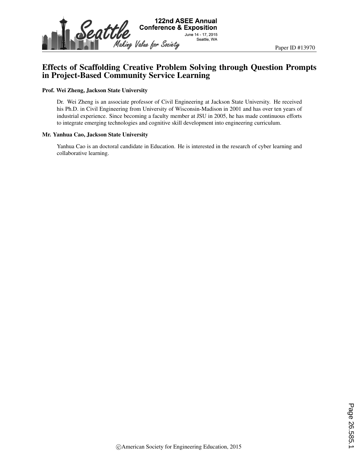

# Effects of Scaffolding Creative Problem Solving through Question Prompts in Project-Based Community Service Learning

#### Prof. Wei Zheng, Jackson State University

Dr. Wei Zheng is an associate professor of Civil Engineering at Jackson State University. He received his Ph.D. in Civil Engineering from University of Wisconsin-Madison in 2001 and has over ten years of industrial experience. Since becoming a faculty member at JSU in 2005, he has made continuous efforts to integrate emerging technologies and cognitive skill development into engineering curriculum.

#### Mr. Yanhua Cao, Jackson State University

Yanhua Cao is an doctoral candidate in Education. He is interested in the research of cyber learning and collaborative learning.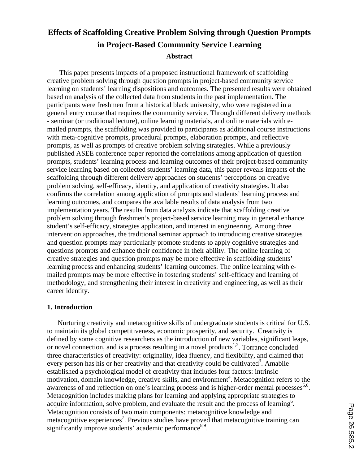# **Effects of Scaffolding Creative Problem Solving through Question Prompts in Project-Based Community Service Learning Abstract**

This paper presents impacts of a proposed instructional framework of scaffolding creative problem solving through question prompts in project-based community service learning on students' learning dispositions and outcomes. The presented results were obtained based on analysis of the collected data from students in the past implementation. The participants were freshmen from a historical black university, who were registered in a general entry course that requires the community service. Through different delivery methods - seminar (or traditional lecture), online learning materials, and online materials with emailed prompts, the scaffolding was provided to participants as additional course instructions with meta-cognitive prompts, procedural prompts, elaboration prompts, and reflective prompts, as well as prompts of creative problem solving strategies. While a previously published ASEE conference paper reported the correlations among application of question prompts, students' learning process and learning outcomes of their project-based community service learning based on collected students' learning data, this paper reveals impacts of the scaffolding through different delivery approaches on students' perceptions on creative problem solving, self-efficacy, identity, and application of creativity strategies. It also confirms the correlation among application of prompts and students' learning process and learning outcomes, and compares the available results of data analysis from two implementation years. The results from data analysis indicate that scaffolding creative problem solving through freshmen's project-based service learning may in general enhance student's self-efficacy, strategies application, and interest in engineering. Among three intervention approaches, the traditional seminar approach to introducing creative strategies and question prompts may particularly promote students to apply cognitive strategies and questions prompts and enhance their confidence in their ability. The online learning of creative strategies and question prompts may be more effective in scaffolding students' learning process and enhancing students' learning outcomes. The online learning with emailed prompts may be more effective in fostering students' self-efficacy and learning of methodology, and strengthening their interest in creativity and engineering, as well as their career identity.

# **1. Introduction**

Nurturing creativity and metacognitive skills of undergraduate students is critical for U.S. to maintain its global competitiveness, economic prosperity, and security. Creativity is defined by some cognitive researchers as the introduction of new variables, significant leaps, or novel connection, and is a process resulting in a novel products<sup>1,2</sup>. Torrance concluded three characteristics of creativity: originality, idea fluency, and flexibility, and claimed that every person has his or her creativity and that creativity could be cultivated<sup>3</sup>. Amabile established a psychological model of creativity that includes four factors: intrinsic motivation, domain knowledge, creative skills, and environment<sup>4</sup>. Metacognition refers to the awareness of and reflection on one's learning process and is higher-order mental processes<sup>5,6</sup>. Metacognition includes making plans for learning and applying appropriate strategies to acquire information, solve problem, and evaluate the result and the process of learning<sup>6</sup>. Metacognition consists of two main components: metacognitive knowledge and metacognitive experiences<sup>7</sup>. Previous studies have proved that metacognitive training can significantly improve students' academic performance $8.9$ .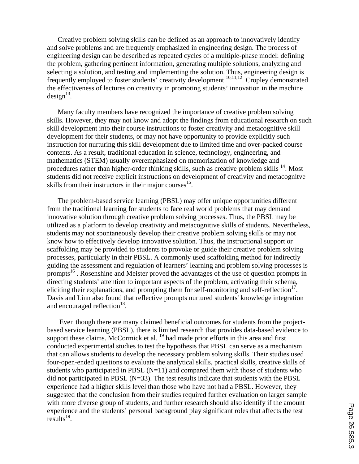Creative problem solving skills can be defined as an approach to innovatively identify and solve problems and are frequently emphasized in engineering design. The process of engineering design can be described as repeated cycles of a multiple-phase model: defining the problem, gathering pertinent information, generating multiple solutions, analyzing and selecting a solution, and testing and implementing the solution. Thus, engineering design is frequently employed to foster students' creativity development 10,11,12. Cropley demonstrated the effectiveness of lectures on creativity in promoting students' innovation in the machine  $design^{13}$ .

Many faculty members have recognized the importance of creative problem solving skills. However, they may not know and adopt the findings from educational research on such skill development into their course instructions to foster creativity and metacognitive skill development for their students, or may not have opportunity to provide explicitly such instruction for nurturing this skill development due to limited time and over-packed course contents. As a result, traditional education in science, technology, engineering, and mathematics (STEM) usually overemphasized on memorization of knowledge and procedures rather than higher-order thinking skills, such as creative problem skills <sup>14</sup>. Most students did not receive explicit instructions on development of creativity and metacognitve skills from their instructors in their major courses $^{15}$ .

The problem-based service learning (PBSL) may offer unique opportunities different from the traditional learning for students to face real world problems that may demand innovative solution through creative problem solving processes. Thus, the PBSL may be utilized as a platform to develop creativity and metacognitive skills of students. Nevertheless, students may not spontaneously develop their creative problem solving skills or may not know how to effectively develop innovative solution. Thus, the instructional support or scaffolding may be provided to students to provoke or guide their creative problem solving processes, particularly in their PBSL. A commonly used scaffolding method for indirectly guiding the assessment and regulation of learners' learning and problem solving processes is prompts<sup>16</sup>. Rosenshine and Meister proved the advantages of the use of question prompts in directing students' attention to important aspects of the problem, activating their schema, eliciting their explanations, and prompting them for self-monitoring and self-reflection<sup>17</sup>. Davis and Linn also found that reflective prompts nurtured students' knowledge integration and encouraged reflection<sup>18</sup>.

Even though there are many claimed beneficial outcomes for students from the projectbased service learning (PBSL), there is limited research that provides data-based evidence to support these claims. McCormick et al. <sup>19</sup> had made prior efforts in this area and first conducted experimental studies to test the hypothesis that PBSL can serve as a mechanism that can allows students to develop the necessary problem solving skills. Their studies used four-open-ended questions to evaluate the analytical skills, practical skills, creative skills of students who participated in PBSL  $(N=11)$  and compared them with those of students who did not participated in PBSL  $(N=33)$ . The test results indicate that students with the PBSL experience had a higher skills level than those who have not had a PBSL. However, they suggested that the conclusion from their studies required further evaluation on larger sample with more diverse group of students, and further research should also identify if the amount experience and the students' personal background play significant roles that affects the test results $^{19}$ .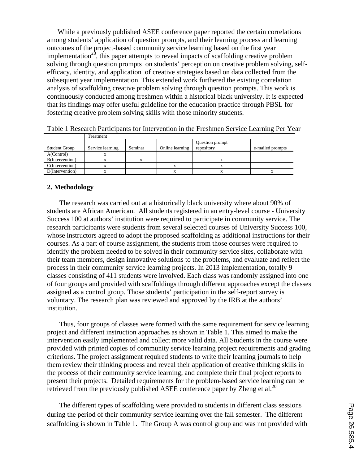While a previously published ASEE conference paper reported the certain correlations among students' application of question prompts, and their learning process and learning outcomes of the project-based community service learning based on the first year implementation<sup>20</sup>, this paper attempts to reveal impacts of scaffolding creative problem solving through question prompts on students' perception on creative problem solving, selfefficacy, identity, and application of creative strategies based on data collected from the subsequent year implementation. This extended work furthered the existing correlation analysis of scaffolding creative problem solving through question prompts. This work is continuously conducted among freshmen within a historical black university. It is expected that its findings may offer useful guideline for the education practice through PBSL for fostering creative problem solving skills with those minority students.

|                 | Treatment        |         |                 |                               |                  |  |  |  |  |  |  |
|-----------------|------------------|---------|-----------------|-------------------------------|------------------|--|--|--|--|--|--|
| Student Group   | Service learning | Seminar | Online learning | Question prompt<br>repository | e-mailed prompts |  |  |  |  |  |  |
| A(Control)      |                  |         |                 |                               |                  |  |  |  |  |  |  |
| B(Intervention) |                  |         |                 |                               |                  |  |  |  |  |  |  |
| C(Intervention) |                  |         |                 |                               |                  |  |  |  |  |  |  |
| D(Intervention) |                  |         |                 |                               |                  |  |  |  |  |  |  |

|  |  |  |  | Table 1 Research Participants for Intervention in the Freshmen Service Learning Per Year |  |
|--|--|--|--|------------------------------------------------------------------------------------------|--|
|  |  |  |  |                                                                                          |  |

# **2. Methodology**

The research was carried out at a historically black university where about 90% of students are African American. All students registered in an entry-level course - University Success 100 at authors' institution were required to participate in community service. The research participants were students from several selected courses of University Success 100, whose instructors agreed to adopt the proposed scaffolding as additional instructions for their courses. As a part of course assignment, the students from those courses were required to identify the problem needed to be solved in their community service sites, collaborate with their team members, design innovative solutions to the problems, and evaluate and reflect the process in their community service learning projects. In 2013 implementation, totally 9 classes consisting of 411 students were involved. Each class was randomly assigned into one of four groups and provided with scaffoldings through different approaches except the classes assigned as a control group. Those students' participation in the self-report survey is voluntary. The research plan was reviewed and approved by the IRB at the authors' institution.

Thus, four groups of classes were formed with the same requirement for service learning project and different instruction approaches as shown in Table 1. This aimed to make the intervention easily implemented and collect more valid data. All Students in the course were provided with printed copies of community service learning project requirements and grading criterions. The project assignment required students to write their learning journals to help them review their thinking process and reveal their application of creative thinking skills in the process of their community service learning, and complete their final project reports to present their projects. Detailed requirements for the problem-based service learning can be retrieved from the previously published ASEE conference paper by Zheng et al.<sup>20</sup>

The different types of scaffolding were provided to students in different class sessions during the period of their community service learning over the fall semester. The different scaffolding is shown in Table 1. The Group A was control group and was not provided with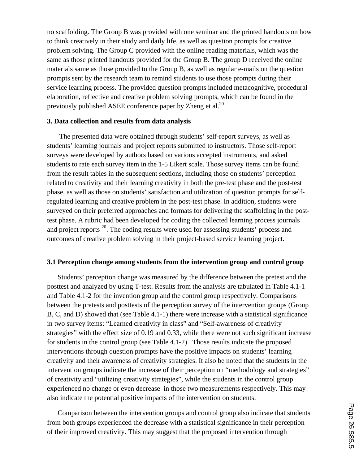no scaffolding. The Group B was provided with one seminar and the printed handouts on how to think creatively in their study and daily life, as well as question prompts for creative problem solving. The Group C provided with the online reading materials, which was the same as those printed handouts provided for the Group B. The group D received the online materials same as those provided to the Group B, as well as regular e-mails on the question prompts sent by the research team to remind students to use those prompts during their service learning process. The provided question prompts included metacognitive, procedural elaboration, reflective and creative problem solving prompts, which can be found in the previously published ASEE conference paper by Zheng et al.<sup>20</sup>

### **3. Data collection and results from data analysis**

The presented data were obtained through students' self-report surveys, as well as students' learning journals and project reports submitted to instructors. Those self-report surveys were developed by authors based on various accepted instruments, and asked students to rate each survey item in the 1-5 Likert scale. Those survey items can be found from the result tables in the subsequent sections, including those on students' perception related to creativity and their learning creativity in both the pre-test phase and the post-test phase, as well as those on students' satisfaction and utilization of question prompts for selfregulated learning and creative problem in the post-test phase. In addition, students were surveyed on their preferred approaches and formats for delivering the scaffolding in the posttest phase. A rubric had been developed for coding the collected learning process journals and project reports  $^{20}$ . The coding results were used for assessing students' process and outcomes of creative problem solving in their project-based service learning project.

### **3.1 Perception change among students from the intervention group and control group**

Students' perception change was measured by the difference between the pretest and the posttest and analyzed by using T-test. Results from the analysis are tabulated in Table 4.1-1 and Table 4.1-2 for the invention group and the control group respectively. Comparisons between the pretests and posttests of the perception survey of the intervention groups (Group B, C, and D) showed that (see Table 4.1-1) there were increase with a statistical significance in two survey items: "Learned creativity in class" and "Self-awareness of creativity strategies" with the effect size of 0.19 and 0.33, while there were not such significant increase for students in the control group (see Table 4.1-2). Those results indicate the proposed interventions through question prompts have the positive impacts on students' learning creativity and their awareness of creativity strategies. It also be noted that the students in the intervention groups indicate the increase of their perception on "methodology and strategies" of creativity and "utilizing creativity strategies", while the students in the control group experienced no change or even decrease in those two measurements respectively. This may also indicate the potential positive impacts of the intervention on students.

Comparison between the intervention groups and control group also indicate that students from both groups experienced the decrease with a statistical significance in their perception of their improved creativity. This may suggest that the proposed intervention through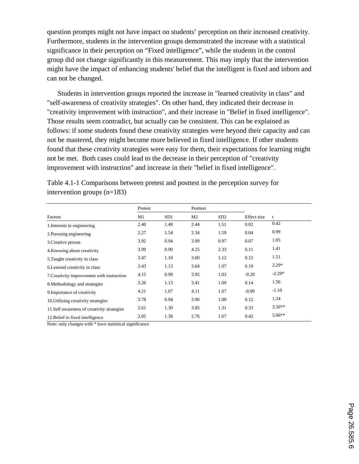question prompts might not have impact on students' perception on their increased creativity. Furthermore, students in the intervention groups demonstrated the increase with a statistical significance in their perception on "Fixed intelligence", while the students in the control group did not change significantly in this measurement. This may imply that the intervention might have the impact of enhancing students' belief that the intelligent is fixed and inborn and can not be changed.

Students in intervention groups reported the increase in "learned creativity in class" and "self-awareness of creativity strategies". On other hand, they indicated their decrease in "creativity improvement with instruction", and their increase in "Belief in fixed intelligence". Those results seem contradict, but actually can be consistent. This can be explained as follows: if some students found these creativity strategies were beyond their capacity and can not be mastered, they might become more believed in fixed intelligence. If other students found that these creativity strategies were easy for them, their expectations for learning might not be met. Both cases could lead to the decrease in their perception of "creativity improvement with instruction" and increase in their "belief in fixed intelligence".

|                                             | Pretest |      | Posttest       |      |             |              |
|---------------------------------------------|---------|------|----------------|------|-------------|--------------|
| Factors                                     | M1      | SD1  | M <sub>2</sub> | SD2  | Effect size | $\mathbf{t}$ |
| 1. Interests in engineering                 | 2.40    | 1.48 | 2.44           | 1.51 | 0.02        | 0.42         |
| 2. Pursuing engineering                     | 2.27    | 1.54 | 2.34           | 1.59 | 0.04        | 0.99         |
| 3. Creative person                          | 3.92    | 0.94 | 3.99           | 0.97 | 0.07        | 1.05         |
| 4. Knowing about creativity                 | 3.99    | 0.90 | 4.25           | 2.33 | 0.11        | 1.41         |
| 5. Taught creativity in class               | 3.47    | 1.10 | 3.60           | 1.12 | 0.12        | 1.51         |
| 6. Learned creativity in class              | 3.43    | 1.13 | 3.64           | 1.07 | 0.19        | $2.29*$      |
| 7. Creativity improvement with instruction  | 4.15    | 0.99 | 3.95           | 1.03 | $-0.20$     | $-2.29*$     |
| 8. Methodology and strategies               | 3.26    | 1.13 | 3.41           | 1.09 | 0.14        | 1.56         |
| 9. Importance of creativity                 | 4.21    | 1.07 | 4.11           | 1.07 | $-0.09$     | $-1.10$      |
| 10. Utilizing creativity strategies         | 3.78    | 0.94 | 3.90           | 1.00 | 0.12        | 1.34         |
| 11. Self awareness of creativity strategies | 2.61    | 1.30 | 3.05           | 1.31 | 0.33        | $3.56***$    |
| 12. Belief in fixed intelligence            | 2.05    | 1.38 | 2.76           | 1.67 | 0.42        | $5.06**$     |

Table 4.1-1 Comparisons between pretest and posttest in the perception survey for intervention groups (n=183)

Note: only changes with \* have statistical significance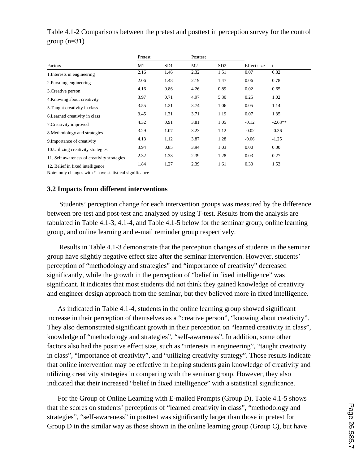|                                             | Pretest |                 | Posttest |      |             |           |
|---------------------------------------------|---------|-----------------|----------|------|-------------|-----------|
| Factors                                     | M1      | SD <sub>1</sub> | M2       | SD2  | Effect size | t         |
| 1. Interests in engineering                 | 2.16    | 1.46            | 2.32     | 1.51 | 0.07        | 0.82      |
| 2. Pursuing engineering                     | 2.06    | 1.48            | 2.19     | 1.47 | 0.06        | 0.78      |
| 3. Creative person                          | 4.16    | 0.86            | 4.26     | 0.89 | 0.02        | 0.65      |
| 4. Knowing about creativity                 | 3.97    | 0.71            | 4.97     | 5.30 | 0.25        | 1.02      |
| 5. Taught creativity in class               | 3.55    | 1.21            | 3.74     | 1.06 | 0.05        | 1.14      |
| 6. Learned creativity in class              | 3.45    | 1.31            | 3.71     | 1.19 | 0.07        | 1.35      |
| 7. Creativity improved                      | 4.32    | 0.91            | 3.81     | 1.05 | $-0.12$     | $-2.63**$ |
| 8. Methodology and strategies               | 3.29    | 1.07            | 3.23     | 1.12 | $-0.02$     | $-0.36$   |
| 9. Importance of creativity                 | 4.13    | 1.12            | 3.87     | 1.28 | $-0.06$     | $-1.25$   |
| 10. Utilizing creativity strategies         | 3.94    | 0.85            | 3.94     | 1.03 | 0.00        | 0.00      |
| 11. Self awareness of creativity strategies | 2.32    | 1.38            | 2.39     | 1.28 | 0.03        | 0.27      |
| 12. Belief in fixed intelligence            | 1.84    | 1.27            | 2.39     | 1.61 | 0.30        | 1.53      |

Table 4.1-2 Comparisons between the pretest and posttest in perception survey for the control group  $(n=31)$ 

Note: only changes with \* have statistical significance

#### **3.2 Impacts from different interventions**

Students' perception change for each intervention groups was measured by the difference between pre-test and post-test and analyzed by using T-test. Results from the analysis are tabulated in Table 4.1-3, 4.1-4, and Table 4.1-5 below for the seminar group, online learning group, and online learning and e-mail reminder group respectively.

Results in Table 4.1-3 demonstrate that the perception changes of students in the seminar group have slightly negative effect size after the seminar intervention. However, students' perception of "methodology and strategies" and "importance of creativity" decreased significantly, while the growth in the perception of "belief in fixed intelligence" was significant. It indicates that most students did not think they gained knowledge of creativity and engineer design approach from the seminar, but they believed more in fixed intelligence.

As indicated in Table 4.1-4, students in the online learning group showed significant increase in their perception of themselves as a "creative person", "knowing about creativity". They also demonstrated significant growth in their perception on "learned creativity in class", knowledge of "methodology and strategies", "self-awareness". In addition, some other factors also had the positive effect size, such as "interests in engineering", "taught creativity in class", "importance of creativity", and "utilizing creativity strategy". Those results indicate that online intervention may be effective in helping students gain knowledge of creativity and utilizing creativity strategies in comparing with the seminar group. However, they also indicated that their increased "belief in fixed intelligence" with a statistical significance.

For the Group of Online Learning with E-mailed Prompts (Group D), Table 4.1-5 shows that the scores on students' perceptions of "learned creativity in class", "methodology and strategies", "self-awareness" in posttest was significantly larger than those in pretest for Group D in the similar way as those shown in the online learning group (Group C), but have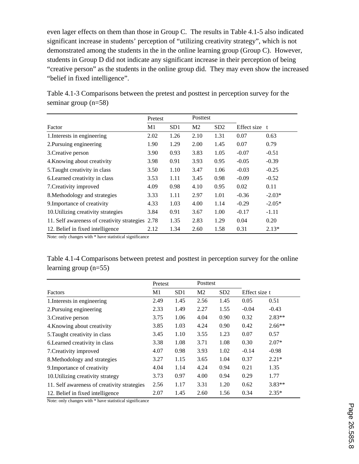even lager effects on them than those in Group C. The results in Table 4.1-5 also indicated significant increase in students' perception of "utilizing creativity strategy", which is not demonstrated among the students in the in the online learning group (Group C). However, students in Group D did not indicate any significant increase in their perception of being "creative person" as the students in the online group did. They may even show the increased "belief in fixed intelligence".

|                                                  | Pretest        |      | Posttest       |      |             |          |
|--------------------------------------------------|----------------|------|----------------|------|-------------|----------|
| Factor                                           | M <sub>1</sub> | SD1  | M <sub>2</sub> | SD2  | Effect size | t        |
| 1. Interests in engineering                      | 2.02           | 1.26 | 2.10           | 1.31 | 0.07        | 0.63     |
| 2. Pursuing engineering                          | 1.90           | 1.29 | 2.00           | 1.45 | 0.07        | 0.79     |
| 3. Creative person                               | 3.90           | 0.93 | 3.83           | 1.05 | $-0.07$     | $-0.51$  |
| 4. Knowing about creativity                      | 3.98           | 0.91 | 3.93           | 0.95 | $-0.05$     | $-0.39$  |
| 5. Taught creativity in class                    | 3.50           | 1.10 | 3.47           | 1.06 | $-0.03$     | $-0.25$  |
| 6. Learned creativity in class                   | 3.53           | 1.11 | 3.45           | 0.98 | $-0.09$     | $-0.52$  |
| 7. Creativity improved                           | 4.09           | 0.98 | 4.10           | 0.95 | 0.02        | 0.11     |
| 8. Methodology and strategies                    | 3.33           | 1.11 | 2.97           | 1.01 | $-0.36$     | $-2.03*$ |
| 9. Importance of creativity                      | 4.33           | 1.03 | 4.00           | 1.14 | $-0.29$     | $-2.05*$ |
| 10. Utilizing creativity strategies              | 3.84           | 0.91 | 3.67           | 1.00 | $-0.17$     | $-1.11$  |
| 11. Self awareness of creativity strategies 2.78 |                | 1.35 | 2.83           | 1.29 | 0.04        | 0.20     |
| 12. Belief in fixed intelligence                 | 2.12           | 1.34 | 2.60           | 1.58 | 0.31        | $2.13*$  |

Table 4.1-3 Comparisons between the pretest and posttest in perception survey for the seminar group (n=58)

Note: only changes with \* have statistical significance

Table 4.1-4 Comparisons between pretest and posttest in perception survey for the online learning group (n=55)

|                                             | Pretest |      | Posttest       |      |               |          |
|---------------------------------------------|---------|------|----------------|------|---------------|----------|
| Factors                                     | M1      | SD1  | M <sub>2</sub> | SD2  | Effect size t |          |
| 1. Interests in engineering                 | 2.49    | 1.45 | 2.56           | 1.45 | 0.05          | 0.51     |
| 2. Pursuing engineering                     | 2.33    | 1.49 | 2.27           | 1.55 | $-0.04$       | $-0.43$  |
| 3. Creative person                          | 3.75    | 1.06 | 4.04           | 0.90 | 0.32          | $2.83**$ |
| 4. Knowing about creativity                 | 3.85    | 1.03 | 4.24           | 0.90 | 0.42          | $2.66**$ |
| 5. Taught creativity in class               | 3.45    | 1.10 | 3.55           | 1.23 | 0.07          | 0.57     |
| 6. Learned creativity in class              | 3.38    | 1.08 | 3.71           | 1.08 | 0.30          | $2.07*$  |
| 7. Creativity improved                      | 4.07    | 0.98 | 3.93           | 1.02 | $-0.14$       | $-0.98$  |
| 8. Methodology and strategies               | 3.27    | 1.15 | 3.65           | 1.04 | 0.37          | $2.21*$  |
| 9. Importance of creativity                 | 4.04    | 1.14 | 4.24           | 0.94 | 0.21          | 1.35     |
| 10. Utilizing creativity strategy           | 3.73    | 0.97 | 4.00           | 0.94 | 0.29          | 1.77     |
| 11. Self awareness of creativity strategies | 2.56    | 1.17 | 3.31           | 1.20 | 0.62          | $3.83**$ |
| 12. Belief in fixed intelligence            | 2.07    | 1.45 | 2.60           | 1.56 | 0.34          | $2.35*$  |

Note: only changes with \* have statistical significance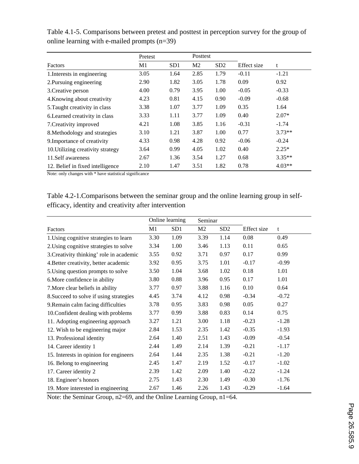|                                   | Pretest |                 | Posttest       |                 |             |          |
|-----------------------------------|---------|-----------------|----------------|-----------------|-------------|----------|
| <b>Factors</b>                    | M1      | SD <sub>1</sub> | M <sub>2</sub> | SD <sub>2</sub> | Effect size | t        |
| 1. Interests in engineering       | 3.05    | 1.64            | 2.85           | 1.79            | $-0.11$     | $-1.21$  |
| 2. Pursuing engineering           | 2.90    | 1.82            | 3.05           | 1.78            | 0.09        | 0.92     |
| 3. Creative person                | 4.00    | 0.79            | 3.95           | 1.00            | $-0.05$     | $-0.33$  |
| 4. Knowing about creativity       | 4.23    | 0.81            | 4.15           | 0.90            | $-0.09$     | $-0.68$  |
| 5. Taught creativity in class     | 3.38    | 1.07            | 3.77           | 1.09            | 0.35        | 1.64     |
| 6. Learned creativity in class    | 3.33    | 1.11            | 3.77           | 1.09            | 0.40        | $2.07*$  |
| 7. Creativity improved            | 4.21    | 1.08            | 3.85           | 1.16            | $-0.31$     | $-1.74$  |
| 8. Methodology and strategies     | 3.10    | 1.21            | 3.87           | 1.00            | 0.77        | $3.73**$ |
| 9. Importance of creativity       | 4.33    | 0.98            | 4.28           | 0.92            | $-0.06$     | $-0.24$  |
| 10. Utilizing creativity strategy | 3.64    | 0.99            | 4.05           | 1.02            | 0.40        | $2.25*$  |
| 11. Self awareness                | 2.67    | 1.36            | 3.54           | 1.27            | 0.68        | $3.35**$ |
| 12. Belief in fixed intelligence  | 2.10    | 1.47            | 3.51           | 1.82            | 0.78        | $4.03**$ |

Table 4.1-5. Comparisons between pretest and posttest in perception survey for the group of online learning with e-mailed prompts (n=39)

Note: only changes with \* have statistical significance

Table 4.2-1.Comparisons between the seminar group and the online learning group in selfefficacy, identity and creativity after intervention

|                                          | Online learning |                 | Seminar        |                 |             |         |
|------------------------------------------|-----------------|-----------------|----------------|-----------------|-------------|---------|
| Factors                                  | M1              | SD <sub>1</sub> | M <sub>2</sub> | SD <sub>2</sub> | Effect size | t       |
| 1. Using cognitive strategies to learn   | 3.30            | 1.09            | 3.39           | 1.14            | 0.08        | 0.49    |
| 2. Using cognitive strategies to solve   | 3.34            | 1.00            | 3.46           | 1.13            | 0.11        | 0.65    |
| 3. Creativity thinking' role in academic | 3.55            | 0.92            | 3.71           | 0.97            | 0.17        | 0.99    |
| 4. Better creativity, better academic    | 3.92            | 0.95            | 3.75           | 1.01            | $-0.17$     | $-0.99$ |
| 5. Using question prompts to solve       | 3.50            | 1.04            | 3.68           | 1.02            | 0.18        | 1.01    |
| 6. More confidence in ability            | 3.80            | 0.88            | 3.96           | 0.95            | 0.17        | 1.01    |
| 7. More clear beliefs in ability         | 3.77            | 0.97            | 3.88           | 1.16            | 0.10        | 0.64    |
| 8. Succeed to solve if using strategies  | 4.45            | 3.74            | 4.12           | 0.98            | $-0.34$     | $-0.72$ |
| 9. Remain calm facing difficulties       | 3.78            | 0.95            | 3.83           | 0.98            | 0.05        | 0.27    |
| 10. Confident dealing with problems      | 3.77            | 0.99            | 3.88           | 0.83            | 0.14        | 0.75    |
| 11. Adopting engineering approach        | 3.27            | 1.21            | 3.00           | 1.18            | $-0.23$     | $-1.28$ |
| 12. Wish to be engineering major         | 2.84            | 1.53            | 2.35           | 1.42            | $-0.35$     | $-1.93$ |
| 13. Professional identity                | 2.64            | 1.40            | 2.51           | 1.43            | $-0.09$     | $-0.54$ |
| 14. Career identity 1                    | 2.44            | 1.49            | 2.14           | 1.39            | $-0.21$     | $-1.17$ |
| 15. Interests in opinion for engineers   | 2.64            | 1.44            | 2.35           | 1.38            | $-0.21$     | $-1.20$ |
| 16. Belong to engineering                | 2.45            | 1.47            | 2.19           | 1.52            | $-0.17$     | $-1.02$ |
| 17. Career identity 2                    | 2.39            | 1.42            | 2.09           | 1.40            | $-0.22$     | $-1.24$ |
| 18. Engineer's honors                    | 2.75            | 1.43            | 2.30           | 1.49            | $-0.30$     | $-1.76$ |
| 19. More interested in engineering       | 2.67            | 1.46            | 2.26           | 1.43            | $-0.29$     | $-1.64$ |

Note: the Seminar Group, n2=69, and the Online Learning Group, n1=64.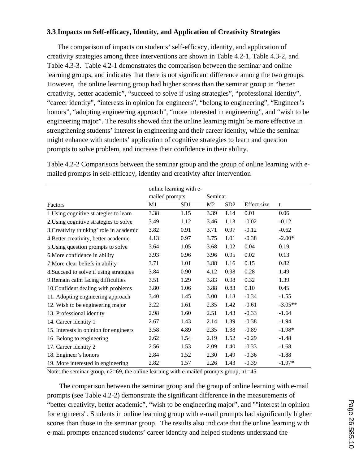# **3.3 Impacts on Self-efficacy, Identity, and Application of Creativity Strategies**

The comparison of impacts on students' self-efficacy, identity, and application of creativity strategies among three interventions are shown in Table 4.2-1, Table 4.3-2, and Table 4.3-3.Table 4.2-1 demonstrates the comparison between the seminar and online learning groups, and indicates that there is not significant difference among the two groups. However, the online learning group had higher scores than the seminar group in "better creativity, better academic", "succeed to solve if using strategies", "professional identity", "career identity", "interests in opinion for engineers", "belong to engineering", "Engineer's honors", "adopting engineering approach", "more interested in engineering", and "wish to be engineering major". The results showed that the online learning might be more effective in strengthening students' interest in engineering and their career identity, while the seminar might enhance with students' application of cognitive strategies to learn and question prompts to solve problem, and increase their confidence in their ability.

|                                          | online learning with e- |                 |         |                 |             |           |  |
|------------------------------------------|-------------------------|-----------------|---------|-----------------|-------------|-----------|--|
|                                          | mailed prompts          |                 | Seminar |                 |             |           |  |
| Factors                                  | M1                      | SD <sub>1</sub> | M2      | SD <sub>2</sub> | Effect size | t         |  |
| 1. Using cognitive strategies to learn   | 3.38                    | 1.15            | 3.39    | 1.14            | 0.01        | 0.06      |  |
| 2. Using cognitive strategies to solve   | 3.49                    | 1.12            | 3.46    | 1.13            | $-0.02$     | $-0.12$   |  |
| 3. Creativity thinking' role in academic | 3.82                    | 0.91            | 3.71    | 0.97            | $-0.12$     | $-0.62$   |  |
| 4. Better creativity, better academic    | 4.13                    | 0.97            | 3.75    | 1.01            | $-0.38$     | $-2.00*$  |  |
| 5. Using question prompts to solve       | 3.64                    | 1.05            | 3.68    | 1.02            | 0.04        | 0.19      |  |
| 6. More confidence in ability            | 3.93                    | 0.96            | 3.96    | 0.95            | 0.02        | 0.13      |  |
| 7. More clear beliefs in ability         | 3.71                    | 1.01            | 3.88    | 1.16            | 0.15        | 0.82      |  |
| 8. Succeed to solve if using strategies  | 3.84                    | 0.90            | 4.12    | 0.98            | 0.28        | 1.49      |  |
| 9. Remain calm facing difficulties       | 3.51                    | 1.29            | 3.83    | 0.98            | 0.32        | 1.39      |  |
| 10. Confident dealing with problems      | 3.80                    | 1.06            | 3.88    | 0.83            | 0.10        | 0.45      |  |
| 11. Adopting engineering approach        | 3.40                    | 1.45            | 3.00    | 1.18            | $-0.34$     | $-1.55$   |  |
| 12. Wish to be engineering major         | 3.22                    | 1.61            | 2.35    | 1.42            | $-0.61$     | $-3.05**$ |  |
| 13. Professional identity                | 2.98                    | 1.60            | 2.51    | 1.43            | $-0.33$     | $-1.64$   |  |
| 14. Career identity 1                    | 2.67                    | 1.43            | 2.14    | 1.39            | $-0.38$     | $-1.94$   |  |
| 15. Interests in opinion for engineers   | 3.58                    | 4.89            | 2.35    | 1.38            | $-0.89$     | $-1.98*$  |  |
| 16. Belong to engineering                | 2.62                    | 1.54            | 2.19    | 1.52            | $-0.29$     | $-1.48$   |  |
| 17. Career identity 2                    | 2.56                    | 1.53            | 2.09    | 1.40            | $-0.33$     | $-1.68$   |  |
| 18. Engineer's honors                    | 2.84                    | 1.52            | 2.30    | 1.49            | $-0.36$     | $-1.88$   |  |
| 19. More interested in engineering       | 2.82                    | 1.57            | 2.26    | 1.43            | $-0.39$     | $-1.97*$  |  |

Table 4.2-2 Comparisons between the seminar group and the group of online learning with emailed prompts in self-efficacy, identity and creativity after intervention

Note: the seminar group,  $n2=69$ , the online learning with e-mailed prompts group,  $n1=45$ .

The comparison between the seminar group and the group of online learning with e-mail prompts (see Table 4.2-2) demonstrate the significant difference in the measurements of "better creativity, better academic", "wish to be engineering major", and ""interest in opinion for engineers". Students in online learning group with e-mail prompts had significantly higher scores than those in the seminar group. The results also indicate that the online learning with e-mail prompts enhanced students' career identity and helped students understand the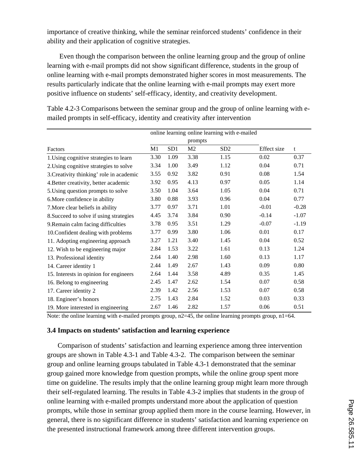importance of creative thinking, while the seminar reinforced students' confidence in their ability and their application of cognitive strategies.

Even though the comparison between the online learning group and the group of online learning with e-mail prompts did not show significant difference, students in the group of online learning with e-mail prompts demonstrated higher scores in most measurements. The results particularly indicate that the online learning with e-mail prompts may exert more positive influence on students' self-efficacy, identity, and creativity development.

|                                          |      |                 |                | online learning online learning with e-mailed |             |         |
|------------------------------------------|------|-----------------|----------------|-----------------------------------------------|-------------|---------|
|                                          |      |                 | prompts        |                                               |             |         |
| Factors                                  | M1   | SD <sub>1</sub> | M <sub>2</sub> | SD <sub>2</sub>                               | Effect size | t       |
| 1. Using cognitive strategies to learn   | 3.30 | 1.09            | 3.38           | 1.15                                          | 0.02        | 0.37    |
| 2. Using cognitive strategies to solve   | 3.34 | 1.00            | 3.49           | 1.12                                          | 0.04        | 0.71    |
| 3. Creativity thinking' role in academic | 3.55 | 0.92            | 3.82           | 0.91                                          | 0.08        | 1.54    |
| 4. Better creativity, better academic    | 3.92 | 0.95            | 4.13           | 0.97                                          | 0.05        | 1.14    |
| 5. Using question prompts to solve       | 3.50 | 1.04            | 3.64           | 1.05                                          | 0.04        | 0.71    |
| 6. More confidence in ability            | 3.80 | 0.88            | 3.93           | 0.96                                          | 0.04        | 0.77    |
| 7. More clear beliefs in ability         | 3.77 | 0.97            | 3.71           | 1.01                                          | $-0.01$     | $-0.28$ |
| 8. Succeed to solve if using strategies  | 4.45 | 3.74            | 3.84           | 0.90                                          | $-0.14$     | $-1.07$ |
| 9. Remain calm facing difficulties       | 3.78 | 0.95            | 3.51           | 1.29                                          | $-0.07$     | $-1.19$ |
| 10. Confident dealing with problems      | 3.77 | 0.99            | 3.80           | 1.06                                          | 0.01        | 0.17    |
| 11. Adopting engineering approach        | 3.27 | 1.21            | 3.40           | 1.45                                          | 0.04        | 0.52    |
| 12. Wish to be engineering major         | 2.84 | 1.53            | 3.22           | 1.61                                          | 0.13        | 1.24    |
| 13. Professional identity                | 2.64 | 1.40            | 2.98           | 1.60                                          | 0.13        | 1.17    |
| 14. Career identity 1                    | 2.44 | 1.49            | 2.67           | 1.43                                          | 0.09        | 0.80    |
| 15. Interests in opinion for engineers   | 2.64 | 1.44            | 3.58           | 4.89                                          | 0.35        | 1.45    |
| 16. Belong to engineering                | 2.45 | 1.47            | 2.62           | 1.54                                          | 0.07        | 0.58    |
| 17. Career identity 2                    | 2.39 | 1.42            | 2.56           | 1.53                                          | 0.07        | 0.58    |
| 18. Engineer's honors                    | 2.75 | 1.43            | 2.84           | 1.52                                          | 0.03        | 0.33    |
| 19. More interested in engineering       | 2.67 | 1.46            | 2.82           | 1.57                                          | 0.06        | 0.51    |

Table 4.2-3 Comparisons between the seminar group and the group of online learning with emailed prompts in self-efficacy, identity and creativity after intervention

Note: the online learning with e-mailed prompts group,  $n2=45$ , the online learning prompts group,  $n1=64$ .

### **3.4 Impacts on students' satisfaction and learning experience**

Comparison of students' satisfaction and learning experience among three intervention groups are shown in Table 4.3-1 and Table 4.3-2.The comparison between the seminar group and online learning groups tabulated in Table 4.3-1 demonstrated that the seminar group gained more knowledge from question prompts, while the online group spent more time on guideline. The results imply that the online learning group might learn more through their self-regulated learning. The results in Table 4.3-2 implies that students in the group of online learning with e-mailed prompts understand more about the application of question prompts, while those in seminar group applied them more in the course learning. However, in general, there is no significant difference in students' satisfaction and learning experience on the presented instructional framework among three different intervention groups.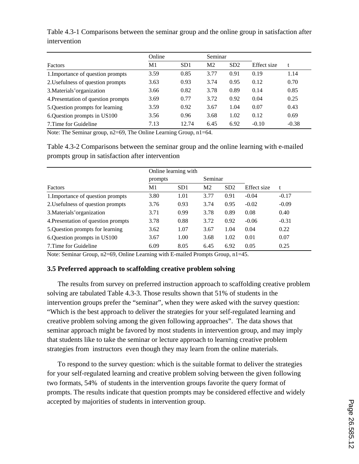|                                     | Online | Seminar |                |      |             |         |
|-------------------------------------|--------|---------|----------------|------|-------------|---------|
| Factors                             | M1     | SD1     | M <sub>2</sub> | SD2  | Effect size | t       |
| 1. Importance of question prompts   | 3.59   | 0.85    | 3.77           | 0.91 | 0.19        | 1.14    |
| 2. Usefulness of question prompts   | 3.63   | 0.93    | 3.74           | 0.95 | 0.12        | 0.70    |
| 3. Materials' organization          | 3.66   | 0.82    | 3.78           | 0.89 | 0.14        | 0.85    |
| 4. Presentation of question prompts | 3.69   | 0.77    | 3.72           | 0.92 | 0.04        | 0.25    |
| 5. Question prompts for learning    | 3.59   | 0.92    | 3.67           | 1.04 | 0.07        | 0.43    |
| 6. Question prompts in US100        | 3.56   | 0.96    | 3.68           | 1.02 | 0.12        | 0.69    |
| 7. Time for Guideline               | 7.13   | 12.74   | 6.45           | 6.92 | $-0.10$     | $-0.38$ |

Table 4.3-1 Comparisons between the seminar group and the online group in satisfaction after intervention

Note: The Seminar group, n2=69, The Online Learning Group, n1=64.

Table 4.3-2 Comparisons between the seminar group and the online learning with e-mailed prompts group in satisfaction after intervention

|                                     |         | Online learning with |                |      |             |         |
|-------------------------------------|---------|----------------------|----------------|------|-------------|---------|
|                                     | prompts |                      | Seminar        |      |             |         |
| Factors                             | M1      | SD <sub>1</sub>      | M <sub>2</sub> | SD2  | Effect size | t       |
| 1. Importance of question prompts   | 3.80    | 1.01                 | 3.77           | 0.91 | $-0.04$     | $-0.17$ |
| 2. Usefulness of question prompts   | 3.76    | 0.93                 | 3.74           | 0.95 | $-0.02$     | $-0.09$ |
| 3. Materials' organization          | 3.71    | 0.99                 | 3.78           | 0.89 | 0.08        | 0.40    |
| 4. Presentation of question prompts | 3.78    | 0.88                 | 3.72           | 0.92 | $-0.06$     | $-0.31$ |
| 5. Question prompts for learning    | 3.62    | 1.07                 | 3.67           | 1.04 | 0.04        | 0.22    |
| 6. Question prompts in US100        | 3.67    | 1.00                 | 3.68           | 1.02 | 0.01        | 0.07    |
| 7. Time for Guideline               | 6.09    | 8.05                 | 6.45           | 6.92 | 0.05        | 0.25    |

Note: Seminar Group, n2=69, Online Learning with E-mailed Prompts Group, n1=45.

# **3.5 Preferred approach to scaffolding creative problem solving**

The results from survey on preferred instruction approach to scaffolding creative problem solving are tabulated Table 4.3-3. Those results shown that 51% of students in the intervention groups prefer the "seminar", when they were asked with the survey question: "Which is the best approach to deliver the strategies for your self-regulated learning and creative problem solving among the given following approaches". The data shows that seminar approach might be favored by most students in intervention group, and may imply that students like to take the seminar or lecture approach to learning creative problem strategies from instructors even though they may learn from the online materials.

To respond to the survey question: which is the suitable format to deliver the strategies for your self-regulated learning and creative problem solving between the given following two formats, 54% of students in the intervention groups favorite the query format of prompts. The results indicate that question prompts may be considered effective and widely accepted by majorities of students in intervention group.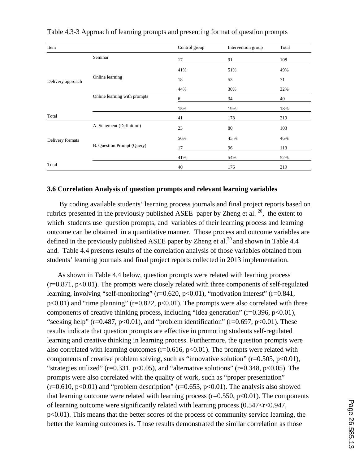| Item              |                              | Control group | Intervention group | Total |  |  |
|-------------------|------------------------------|---------------|--------------------|-------|--|--|
|                   | Seminar                      | 17            | 91                 | 108   |  |  |
| Delivery approach |                              | 41%           | 51%                | 49%   |  |  |
|                   | Online learning              | 18            | 53                 | 71    |  |  |
|                   |                              | 44%           | 30%                | 32%   |  |  |
|                   | Online learning with prompts | 6             | 34                 | 40    |  |  |
|                   |                              | 15%           | 19%                | 18%   |  |  |
| Total             |                              | 41            | 178                | 219   |  |  |
|                   | A. Statement (Definition)    | 23            | 80                 | 103   |  |  |
| Delivery formats  |                              | 56%           | 45 %               | 46%   |  |  |
|                   | B. Question Prompt (Query)   | 17            | 96                 | 113   |  |  |
|                   |                              | 41%           | 54%                | 52%   |  |  |
| Total             |                              | 40            | 176                | 219   |  |  |

Table 4.3-3 Approach of learning prompts and presenting format of question prompts

### **3.6 Correlation Analysis of question prompts and relevant learning variables**

By coding available students' learning process journals and final project reports based on rubrics presented in the previously published ASEE paper by Zheng et al.  $^{20}$ , the extent to which students use question prompts, and variables of their learning process and learning outcome can be obtained in a quantitative manner. Those process and outcome variables are defined in the previously published ASEE paper by Zheng et al.<sup>20</sup> and shown in Table 4.4 and. Table 4.4 presents results of the correlation analysis of those variables obtained from students' learning journals and final project reports collected in 2013 implementation.

As shown in Table 4.4 below, question prompts were related with learning process  $(r=0.871, p<0.01)$ . The prompts were closely related with three components of self-regulated learning, involving "self-monitoring" (r=0.620, p<0.01), "motivation interest" (r=0.841,  $p<0.01$ ) and "time planning" ( $r=0.822$ ,  $p<0.01$ ). The prompts were also correlated with three components of creative thinking process, including "idea generation" (r=0.396, p<0.01), "seeking help" ( $r=0.487$ ,  $p<0.01$ ), and "problem identification" ( $r=0.697$ ,  $p<0.01$ ). These results indicate that question prompts are effective in promoting students self-regulated learning and creative thinking in learning process. Furthermore, the question prompts were also correlated with learning outcomes ( $r=0.616$ ,  $p<0.01$ ). The prompts were related with components of creative problem solving, such as "innovative solution" ( $r=0.505$ ,  $p<0.01$ ), "strategies utilized" ( $r=0.331$ ,  $p<0.05$ ), and "alternative solutions" ( $r=0.348$ ,  $p<0.05$ ). The prompts were also correlated with the quality of work, such as "proper presentation"  $(r=0.610, p<0.01)$  and "problem description"  $(r=0.653, p<0.01)$ . The analysis also showed that learning outcome were related with learning process ( $r=0.550$ ,  $p<0.01$ ). The components of learning outcome were significantly related with learning process  $(0.547 < r < 0.947$ , p<0.01). This means that the better scores of the process of community service learning, the better the learning outcomes is. Those results demonstrated the similar correlation as those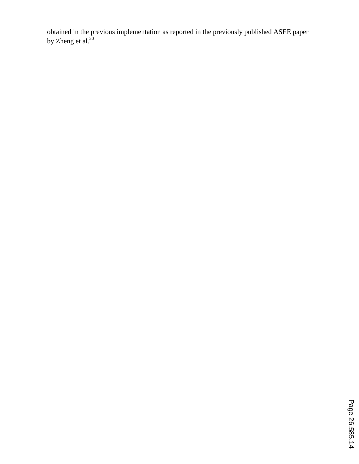obtained in the previous implementation as reported in the previously published ASEE paper by Zheng et al. $^{20}$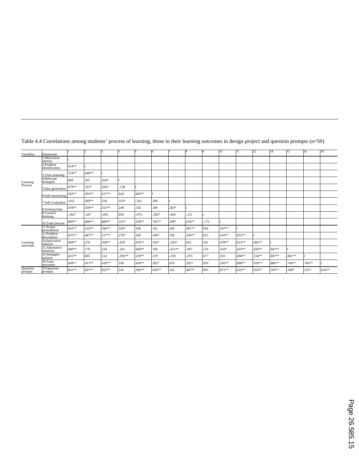| Variables                        | Dimension                   |          |          |          |            | к        |          |          |          |      | 10       |          | 12       | 14     | 15      | 16      | 18       |
|----------------------------------|-----------------------------|----------|----------|----------|------------|----------|----------|----------|----------|------|----------|----------|----------|--------|---------|---------|----------|
| Learning<br>Process <sup>'</sup> | I.Motivation<br>interest    |          |          |          |            |          |          |          |          |      |          |          |          |        |         |         |          |
|                                  | 2.Problem<br>identification | .554**   |          |          |            |          |          |          |          |      |          |          |          |        |         |         |          |
|                                  | 3. Time planning            | .724 **  | $.646**$ |          |            |          |          |          |          |      |          |          |          |        |         |         |          |
|                                  | 4.Relevant<br>strategies    | .068     | 201      | $.354*$  |            |          |          |          |          |      |          |          |          |        |         |         |          |
|                                  | 5.Idea-generation           | .479**   | $.315*$  | $.326*$  | .138       |          |          |          |          |      |          |          |          |        |         |         |          |
|                                  | 6.Self-monitoring           | .565**   | .591**   | $.617**$ | .024       | $.603**$ |          |          |          |      |          |          |          |        |         |         |          |
|                                  | 7.Self-evaluation           | .032     | 369**    | .256     | .325*      | $-261$   | .206     |          |          |      |          |          |          |        |         |         |          |
|                                  | 8. Seeking help             | .478**   | .509**   | .551**   | .249       | .158     | 189      | .283*    |          |      |          |          |          |        |         |         |          |
|                                  | 9.Creative<br>thinking      | $.302*$  | .207     | $-0.095$ | .056       | $-.074$  | $-302*$  | .064     | $-121$   |      |          |          |          |        |         |         |          |
|                                  | 10. Total process           | .800**   | .806**   | .889**   | $.331*$    | .558**   | .762**   | .299*    | $.634**$ | .172 |          |          |          |        |         |         |          |
| Learning<br>outcomes             | 11.Proper<br>presentation   | .562**   | $.510**$ | 390**    | $.320*$    | 168      | 162      | .260     | .491**   | .016 | .547**   |          |          |        |         |         |          |
|                                  | 12.Problem<br>description   | $.635**$ | 487**    | $.517**$ | $.279*$    | .200     | $.340*$  | .198     | .430**   | .013 | $.610**$ | .932**   |          |        |         |         |          |
|                                  | 14. Innovative<br>solution  | .608**   | .276     | $.368**$ | $-0.020$   | $.676**$ | .332*    | $.293*$  | .055     | 102  | .478**   | $.613**$ | .685**   |        |         |         |          |
|                                  | 15.Alternative<br>solutions | .490**   | 170      | .234     | $-201$     | .684**   | .196     | $.411**$ | .097     | 119  | $.310*$  | $.410**$ | .459**   | .947** |         |         |          |
|                                  | 16.Strategies<br>utilized   | .425**   | .003     | .114     | $-0.395**$ | .529**   | .219     | $-159$   | $-.075$  | .077 | .203     | 496**    | .534**   | .807** | .801**  |         |          |
|                                  | 18.Total<br>outcomes        | .649**   | .413**   | $.418**$ | .106       | .434**   | $.282*$  | .010     | .292*    | .059 | $.550**$ | .898**   | .918**   | .886** | .744**  | .766**  |          |
| <b>Question</b><br>prompts       | 19.Question<br>prompts      | .841 **  | .697**   | $.822**$ | .241       | .396**   | $.620**$ | .162     | .487**   | .003 | $.871**$ | $.610**$ | $.653**$ | .505** | $.348*$ | $.331*$ | $.616**$ |

Table 4.4 Correlations among students' process of learning, those in their learning outcomes in design project and question prompts (n=50)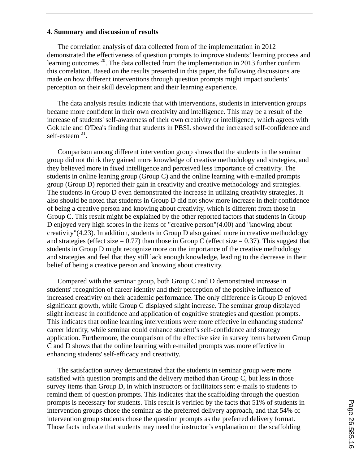### **4. Summary and discussion of results**

The correlation analysis of data collected from of the implementation in 2012 demonstrated the effectiveness of question prompts to improve students' learning process and learning outcomes  $^{20}$ . The data collected from the implementation in 2013 further confirm this correlation. Based on the results presented in this paper, the following discussions are made on how different interventions through question prompts might impact students' perception on their skill development and their learning experience.

The data analysis results indicate that with interventions, students in intervention groups became more confident in their own creativity and intelligence. This may be a result of the increase of students' self-awareness of their own creativity or intelligence, which agrees with Gokhale and O'Dea's finding that students in PBSL showed the increased self-confidence and self-esteem  $^{21}$ .

Comparison among different intervention group shows that the students in the seminar group did not think they gained more knowledge of creative methodology and strategies, and they believed more in fixed intelligence and perceived less importance of creativity. The students in online leaning group (Group C) and the online learning with e-mailed prompts group (Group D) reported their gain in creativity and creative methodology and strategies. The students in Group D even demonstrated the increase in utilizing creativity strategies. It also should be noted that students in Group D did not show more increase in their confidence of being a creative person and knowing about creativity, which is different from those in Group C. This result might be explained by the other reported factors that students in Group D enjoyed very high scores in the items of "creative person"(4.00) and "knowing about creativity"(4.23). In addition, students in Group D also gained more in creative methodology and strategies (effect size  $= 0.77$ ) than those in Group C (effect size  $= 0.37$ ). This suggest that students in Group D might recognize more on the importance of the creative methodology and strategies and feel that they still lack enough knowledge, leading to the decrease in their belief of being a creative person and knowing about creativity.

Compared with the seminar group, both Group C and D demonstrated increase in students' recognition of career identity and their perception of the positive influence of increased creativity on their academic performance. The only difference is Group D enjoyed significant growth, while Group C displayed slight increase. The seminar group displayed slight increase in confidence and application of cognitive strategies and question prompts. This indicates that online learning interventions were more effective in enhancing students' career identity, while seminar could enhance student's self-confidence and strategy application. Furthermore, the comparison of the effective size in survey items between Group C and D shows that the online learning with e-mailed prompts was more effective in enhancing students' self-efficacy and creativity.

The satisfaction survey demonstrated that the students in seminar group were more satisfied with question prompts and the delivery method than Group C, but less in those survey items than Group D, in which instructors or facilitators sent e-mails to students to remind them of question prompts. This indicates that the scaffolding through the question prompts is necessary for students. This result is verified by the facts that 51% of students in intervention groups chose the seminar as the preferred delivery approach, and that 54% of intervention group students chose the question prompts as the preferred delivery format. Those facts indicate that students may need the instructor's explanation on the scaffolding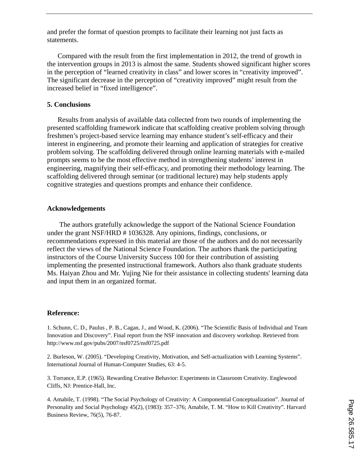and prefer the format of question prompts to facilitate their learning not just facts as statements.

Compared with the result from the first implementation in 2012, the trend of growth in the intervention groups in 2013 is almost the same. Students showed significant higher scores in the perception of "learned creativity in class" and lower scores in "creativity improved". The significant decrease in the perception of "creativity improved" might result from the increased belief in "fixed intelligence".

# **5. Conclusions**

Results from analysis of available data collected from two rounds of implementing the presented scaffolding framework indicate that scaffolding creative problem solving through freshmen's project-based service learning may enhance student's self-efficacy and their interest in engineering, and promote their learning and application of strategies for creative problem solving. The scaffolding delivered through online learning materials with e-mailed prompts seems to be the most effective method in strengthening students' interest in engineering, magnifying their self-efficacy, and promoting their methodology learning. The scaffolding delivered through seminar (or traditional lecture) may help students apply cognitive strategies and questions prompts and enhance their confidence.

### **Acknowledgements**

The authors gratefully acknowledge the support of the National Science Foundation under the grant NSF/HRD # 1036328. Any opinions, findings, conclusions, or recommendations expressed in this material are those of the authors and do not necessarily reflect the views of the National Science Foundation. The authors thank the participating instructors of the Course University Success 100 for their contribution of assisting implementing the presented instructional framework. Authors also thank graduate students Ms. Haiyan Zhou and Mr. Yujing Nie for their assistance in collecting students' learning data and input them in an organized format.

# **Reference:**

1. Schunn, C. D., Paulus , P. B., Cagan, J., and Wood, K. (2006). "The Scientific Basis of Individual and Team Innovation and Discovery". Final report from the NSF innovation and discovery workshop. Retrieved from http://www.nsf.gov/pubs/2007/nsf0725/nsf0725.pdf

2. Burleson, W. (2005). "Developing Creativity, Motivation, and Self-actualization with Learning Systems". International Journal of Human-Computer Studies, 63: 4-5.

3. Torrance, E.P. (1965). Rewarding Creative Behavior: Experiments in Classroom Creativity. Englewood Cliffs, NJ: Prentice-Hall, Inc.

4. Amabile, T. (1998). "The Social Psychology of Creativity: A Componential Conceptualization". Journal of Personality and Social Psychology 45(2), (1983): 357–376; Amabile, T. M. "How to Kill Creativity". Harvard Business Review, 76(5), 76-87.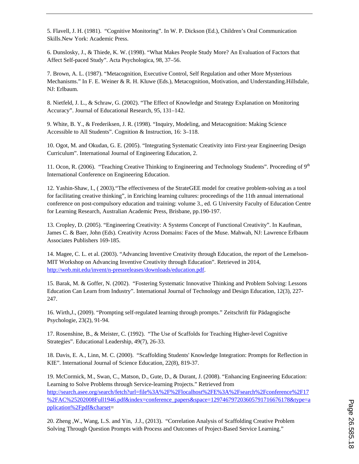5. Flavell, J. H. (1981). "Cognitive Monitoring". In W. P. Dickson (Ed.), Children's Oral Communication Skills.New York: Academic Press.

6. Dunslosky, J., & Thiede, K. W. (1998). "What Makes People Study More? An Evaluation of Factors that Affect Self-paced Study". Acta Psychologica, 98, 37–56.

7. Brown, A. L. (1987). "Metacognition, Executive Control, Self Regulation and other More Mysterious Mechanisms." In F. E. Weiner & R. H. Kluwe (Eds.), Metacognition, Motivation, and Understanding.Hillsdale, NJ: Erlbaum.

8. Nietfeld, J. L., & Schraw, G. (2002). "The Effect of Knowledge and Strategy Explanation on Monitoring Accuracy". Journal of Educational Research, 95, 131–142.

9. White, B. Y., & Frederiksen, J. R. (1998). "Inquiry, Modeling, and Metacognition: Making Science Accessible to All Students". Cognition & Instruction, 16: 3–118.

10. Ogot, M. and Okudan, G. E. (2005). "Integrating Systematic Creativity into First-year Engineering Design Curriculum". International Journal of Engineering Education, 2.

11. Ocon, R. (2006). "Teaching Creative Thinking to Engineering and Technology Students". Proceeding of 9<sup>th</sup> International Conference on Engineering Education.

12. Yashin-Shaw, I., ( 2003)."The effectiveness of the StrateGEE model for creative problem-solving as a tool for facilitating creative thinking", in Enriching learning cultures: proceedings of the 11th annual international conference on post-compulsory education and training: volume 3., ed. G University Faculty of Education Centre for Learning Research, Australian Academic Press, Brisbane, pp.190-197.

13. Cropley, D. (2005). "Engineering Creativity: A Systems Concept of Functional Creativity". In Kaufman, James C. & Baer, John (Eds). Creativity Across Domains: Faces of the Muse. Mahwah, NJ: Lawrence Erlbaum Associates Publishers 169-185.

14. Magee, C. L. et al. (2003). "Advancing Inventive Creativity through Education, the report of the Lemelson-MIT Workshop on Advancing Inventive Creativity through Education". Retrieved in 2014, http://web.mit.edu/invent/n-pressreleases/downloads/education.pdf.

15. Barak, M. & Goffer, N. (2002). "Fostering Systematic Innovative Thinking and Problem Solving: Lessons Education Can Learn from Industry". International Journal of Technology and Design Education, 12(3), 227- 247.

16. Wirth,J., (2009). "Prompting self-regulated learning through prompts." Zeitschrift für Pädagogische Psychologie, 23(2), 91-94.

17. Rosenshine, B., & Meister, C. (1992). "The Use of Scaffolds for Teaching Higher-level Cognitive Strategies". Educational Leadership, 49(7), 26-33.

18. Davis, E. A., Linn, M. C. (2000). "Scaffolding Students' Knowledge Integration: Prompts for Reflection in KIE". International Journal of Science Education, 22(8), 819-37.

19. McCormick, M., Swan, C., Matson, D., Gute, D., & Durant, J. (2008). "Enhancing Engineering Education: Learning to Solve Problems through Service-learning Projects." Retrieved from http://search.asee.org/search/fetch?url=file%3A%2F%2Flocalhost%2FE%3A%2Fsearch%2Fconference%2F17 %2FAC%25202008Full1946.pdf&index=conference\_papers&space=129746797203605791716676178&type=a pplication%2Fpdf&charset=

20. Zheng ,W., Wang, L.S. and Yin, J.J., (2013). "Correlation Analysis of Scaffolding Creative Problem Solving Through Question Prompts with Process and Outcomes of Project-Based Service Learning."